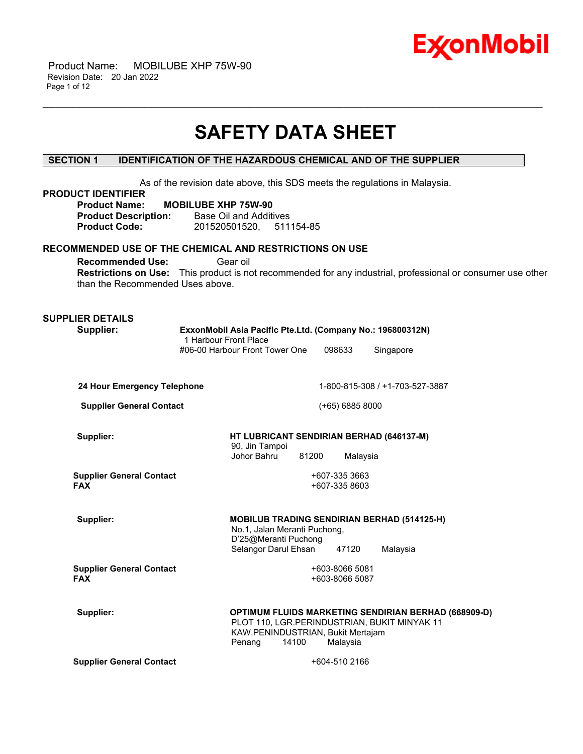

 Product Name: MOBILUBE XHP 75W-90 Revision Date: 20 Jan 2022 Page 1 of 12

# **SAFETY DATA SHEET**

\_\_\_\_\_\_\_\_\_\_\_\_\_\_\_\_\_\_\_\_\_\_\_\_\_\_\_\_\_\_\_\_\_\_\_\_\_\_\_\_\_\_\_\_\_\_\_\_\_\_\_\_\_\_\_\_\_\_\_\_\_\_\_\_\_\_\_\_\_\_\_\_\_\_\_\_\_\_\_\_\_\_\_\_\_\_\_\_\_\_\_\_\_\_\_\_\_\_\_\_\_\_\_\_\_\_\_\_\_\_\_\_\_\_\_\_\_\_

# **SECTION 1 IDENTIFICATION OF THE HAZARDOUS CHEMICAL AND OF THE SUPPLIER**

As of the revision date above, this SDS meets the regulations in Malaysia. **PRODUCT IDENTIFIER Product Name: MOBILUBE XHP 75W-90 Product Description:** Base Oil and Additives **Product Code:** 201520501520, 511154-85 **RECOMMENDED USE OF THE CHEMICAL AND RESTRICTIONS ON USE Recommended Use: Gear oil Restrictions on Use:** This product is not recommended for any industrial, professional or consumer use other than the Recommended Uses above. **SUPPLIER DETAILS Supplier: ExxonMobil Asia Pacific Pte.Ltd. (Company No.: 196800312N)** 1 Harbour Front Place #06-00 Harbour Front Tower One 098633 Singapore **24 Hour Emergency Telephone** 1-800-815-308 / +1-703-527-3887 **Supplier General Contact** (+65) 6885 8000 **Supplier: HT LUBRICANT SENDIRIAN BERHAD (646137-M)** 90, Jin Tampoi Johor Bahru 81200 Malaysia **Supplier General Contact FAX** +607-335 3663 +607-335 8603 **Supplier: MOBILUB TRADING SENDIRIAN BERHAD (514125-H)** No.1, Jalan Meranti Puchong, D'25@Meranti Puchong Selangor Darul Ehsan 47120 Malaysia **Supplier General Contact FAX** +603-8066 5081 +603-8066 5087 **Supplier: OPTIMUM FLUIDS MARKETING SENDIRIAN BERHAD (668909-D)** PLOT 110, LGR.PERINDUSTRIAN, BUKIT MINYAK 11 KAW.PENINDUSTRIAN, Bukit Mertajam Penang 14100 Malaysia **Supplier General Contact** +604-510 2166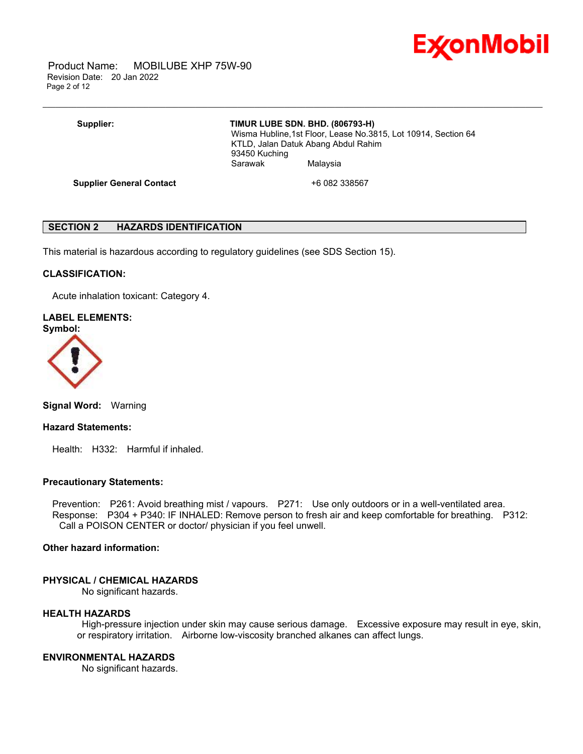

 Product Name: MOBILUBE XHP 75W-90 Revision Date: 20 Jan 2022 Page 2 of 12

# **Supplier: TIMUR LUBE SDN. BHD. (806793-H)**

\_\_\_\_\_\_\_\_\_\_\_\_\_\_\_\_\_\_\_\_\_\_\_\_\_\_\_\_\_\_\_\_\_\_\_\_\_\_\_\_\_\_\_\_\_\_\_\_\_\_\_\_\_\_\_\_\_\_\_\_\_\_\_\_\_\_\_\_\_\_\_\_\_\_\_\_\_\_\_\_\_\_\_\_\_\_\_\_\_\_\_\_\_\_\_\_\_\_\_\_\_\_\_\_\_\_\_\_\_\_\_\_\_\_\_\_\_\_

 Wisma Hubline,1st Floor, Lease No.3815, Lot 10914, Section 64 KTLD, Jalan Datuk Abang Abdul Rahim 93450 Kuching Sarawak Malaysia

**Supplier General Contact** +6 082 338567

# **SECTION 2 HAZARDS IDENTIFICATION**

This material is hazardous according to regulatory guidelines (see SDS Section 15).

#### **CLASSIFICATION:**

Acute inhalation toxicant: Category 4.

# **LABEL ELEMENTS:**





**Signal Word:** Warning

#### **Hazard Statements:**

Health: H332: Harmful if inhaled.

#### **Precautionary Statements:**

 Prevention: P261: Avoid breathing mist / vapours. P271: Use only outdoors or in a well-ventilated area. Response: P304 + P340: IF INHALED: Remove person to fresh air and keep comfortable for breathing. P312: Call a POISON CENTER or doctor/ physician if you feel unwell.

### **Other hazard information:**

#### **PHYSICAL / CHEMICAL HAZARDS**

No significant hazards.

#### **HEALTH HAZARDS**

High-pressure injection under skin may cause serious damage. Excessive exposure may result in eye, skin, or respiratory irritation. Airborne low-viscosity branched alkanes can affect lungs.

# **ENVIRONMENTAL HAZARDS**

No significant hazards.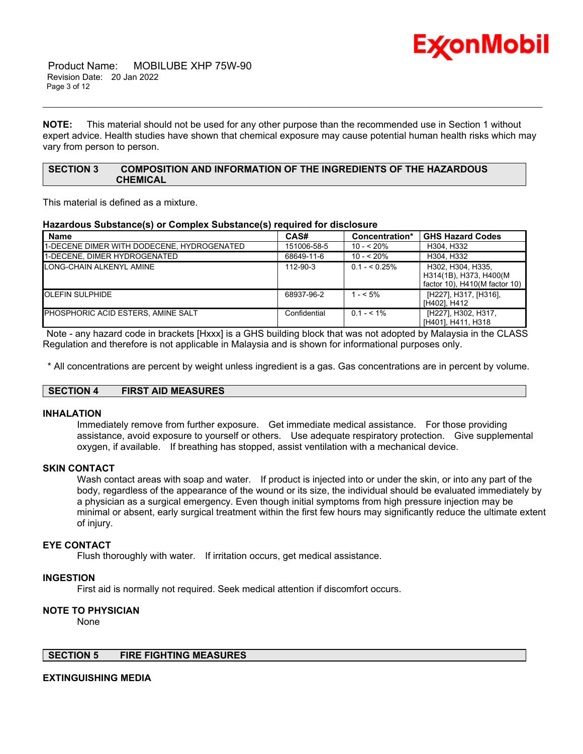

 Product Name: MOBILUBE XHP 75W-90 Revision Date: 20 Jan 2022 Page 3 of 12

**NOTE:** This material should not be used for any other purpose than the recommended use in Section 1 without expert advice. Health studies have shown that chemical exposure may cause potential human health risks which may vary from person to person.

\_\_\_\_\_\_\_\_\_\_\_\_\_\_\_\_\_\_\_\_\_\_\_\_\_\_\_\_\_\_\_\_\_\_\_\_\_\_\_\_\_\_\_\_\_\_\_\_\_\_\_\_\_\_\_\_\_\_\_\_\_\_\_\_\_\_\_\_\_\_\_\_\_\_\_\_\_\_\_\_\_\_\_\_\_\_\_\_\_\_\_\_\_\_\_\_\_\_\_\_\_\_\_\_\_\_\_\_\_\_\_\_\_\_\_\_\_\_

# **SECTION 3 COMPOSITION AND INFORMATION OF THE INGREDIENTS OF THE HAZARDOUS CHEMICAL**

This material is defined as a mixture.

# **Hazardous Substance(s) or Complex Substance(s) required for disclosure**

| <b>Name</b>                                | CAS#           | Concentration* | <b>GHS Hazard Codes</b>                                                      |
|--------------------------------------------|----------------|----------------|------------------------------------------------------------------------------|
| 1-DECENE DIMER WITH DODECENE, HYDROGENATED | 151006-58-5    | $10 - 520%$    | H304, H332                                                                   |
| 1-DECENE. DIMER HYDROGENATED               | 68649-11-6     | $10 - 520%$    | H304, H332                                                                   |
| LONG-CHAIN ALKENYL AMINE                   | $112 - 90 - 3$ | $0.1 - 5.25\%$ | H302, H304, H335,<br>H314(1B), H373, H400(M<br>factor 10), H410(M factor 10) |
| <b>OLEFIN SULPHIDE</b>                     | 68937-96-2     | $1 - 5\%$      | [H227], H317, [H316],<br>[H402], H412                                        |
| <b>PHOSPHORIC ACID ESTERS. AMINE SALT</b>  | Confidential   | $0.1 - 5.1\%$  | [H227], H302, H317,<br>[H401], H411, H318                                    |

Note - any hazard code in brackets [Hxxx] is a GHS building block that was not adopted by Malaysia in the CLASS Regulation and therefore is not applicable in Malaysia and is shown for informational purposes only.

\* All concentrations are percent by weight unless ingredient is a gas. Gas concentrations are in percent by volume.

#### **SECTION 4 FIRST AID MEASURES**

# **INHALATION**

Immediately remove from further exposure. Get immediate medical assistance. For those providing assistance, avoid exposure to yourself or others. Use adequate respiratory protection. Give supplemental oxygen, if available. If breathing has stopped, assist ventilation with a mechanical device.

# **SKIN CONTACT**

Wash contact areas with soap and water. If product is injected into or under the skin, or into any part of the body, regardless of the appearance of the wound or its size, the individual should be evaluated immediately by a physician as a surgical emergency. Even though initial symptoms from high pressure injection may be minimal or absent, early surgical treatment within the first few hours may significantly reduce the ultimate extent of injury.

#### **EYE CONTACT**

Flush thoroughly with water. If irritation occurs, get medical assistance.

#### **INGESTION**

First aid is normally not required. Seek medical attention if discomfort occurs.

# **NOTE TO PHYSICIAN**

None

# **SECTION 5 FIRE FIGHTING MEASURES**

#### **EXTINGUISHING MEDIA**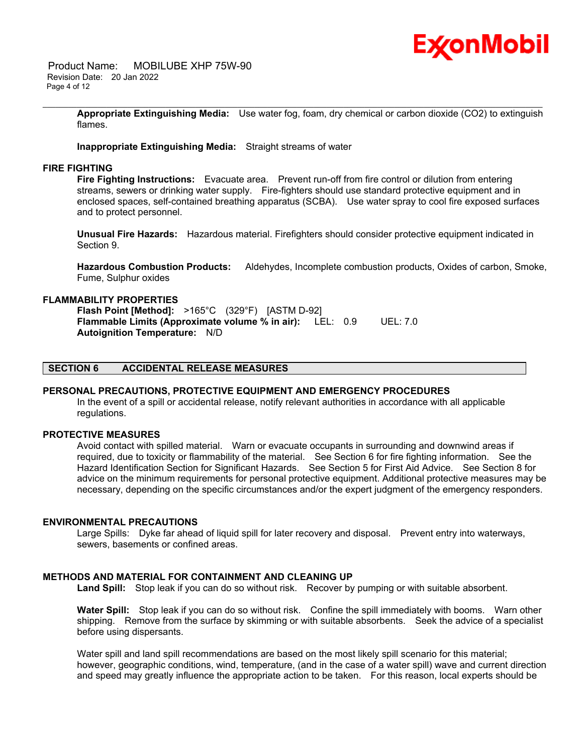

 Product Name: MOBILUBE XHP 75W-90 Revision Date: 20 Jan 2022 Page 4 of 12

> **Appropriate Extinguishing Media:** Use water fog, foam, dry chemical or carbon dioxide (CO2) to extinguish flames.

\_\_\_\_\_\_\_\_\_\_\_\_\_\_\_\_\_\_\_\_\_\_\_\_\_\_\_\_\_\_\_\_\_\_\_\_\_\_\_\_\_\_\_\_\_\_\_\_\_\_\_\_\_\_\_\_\_\_\_\_\_\_\_\_\_\_\_\_\_\_\_\_\_\_\_\_\_\_\_\_\_\_\_\_\_\_\_\_\_\_\_\_\_\_\_\_\_\_\_\_\_\_\_\_\_\_\_\_\_\_\_\_\_\_\_\_\_\_

**Inappropriate Extinguishing Media:** Straight streams of water

#### **FIRE FIGHTING**

**Fire Fighting Instructions:** Evacuate area. Prevent run-off from fire control or dilution from entering streams, sewers or drinking water supply. Fire-fighters should use standard protective equipment and in enclosed spaces, self-contained breathing apparatus (SCBA). Use water spray to cool fire exposed surfaces and to protect personnel.

**Unusual Fire Hazards:** Hazardous material. Firefighters should consider protective equipment indicated in Section 9.

**Hazardous Combustion Products:** Aldehydes, Incomplete combustion products, Oxides of carbon, Smoke, Fume, Sulphur oxides

#### **FLAMMABILITY PROPERTIES**

**Flash Point [Method]:** >165°C (329°F) [ASTM D-92] **Flammable Limits (Approximate volume % in air):** LEL: 0.9 UEL: 7.0 **Autoignition Temperature:** N/D

# **SECTION 6 ACCIDENTAL RELEASE MEASURES**

#### **PERSONAL PRECAUTIONS, PROTECTIVE EQUIPMENT AND EMERGENCY PROCEDURES**

In the event of a spill or accidental release, notify relevant authorities in accordance with all applicable regulations.

#### **PROTECTIVE MEASURES**

Avoid contact with spilled material. Warn or evacuate occupants in surrounding and downwind areas if required, due to toxicity or flammability of the material. See Section 6 for fire fighting information. See the Hazard Identification Section for Significant Hazards. See Section 5 for First Aid Advice. See Section 8 for advice on the minimum requirements for personal protective equipment. Additional protective measures may be necessary, depending on the specific circumstances and/or the expert judgment of the emergency responders.

#### **ENVIRONMENTAL PRECAUTIONS**

Large Spills: Dyke far ahead of liquid spill for later recovery and disposal. Prevent entry into waterways, sewers, basements or confined areas.

# **METHODS AND MATERIAL FOR CONTAINMENT AND CLEANING UP**

**Land Spill:** Stop leak if you can do so without risk. Recover by pumping or with suitable absorbent.

**Water Spill:** Stop leak if you can do so without risk. Confine the spill immediately with booms. Warn other shipping. Remove from the surface by skimming or with suitable absorbents. Seek the advice of a specialist before using dispersants.

Water spill and land spill recommendations are based on the most likely spill scenario for this material; however, geographic conditions, wind, temperature, (and in the case of a water spill) wave and current direction and speed may greatly influence the appropriate action to be taken. For this reason, local experts should be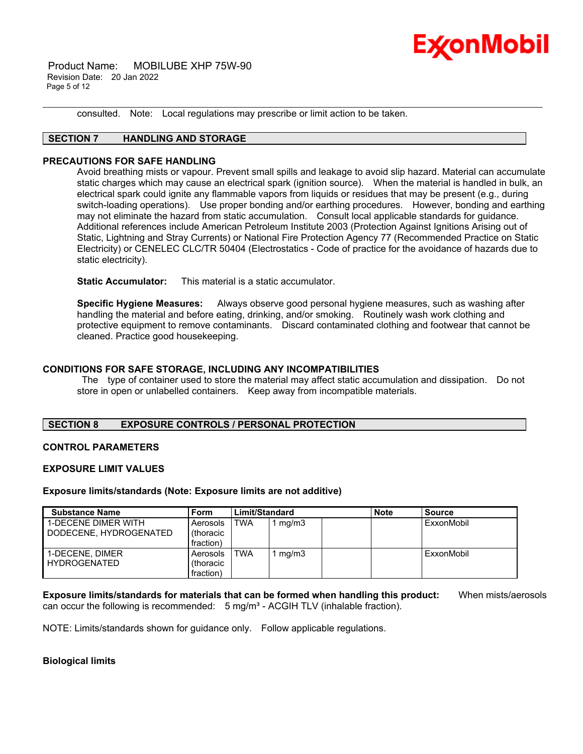

 Product Name: MOBILUBE XHP 75W-90 Revision Date: 20 Jan 2022 Page 5 of 12

consulted. Note: Local regulations may prescribe or limit action to be taken.

# **SECTION 7 HANDLING AND STORAGE**

#### **PRECAUTIONS FOR SAFE HANDLING**

Avoid breathing mists or vapour. Prevent small spills and leakage to avoid slip hazard. Material can accumulate static charges which may cause an electrical spark (ignition source). When the material is handled in bulk, an electrical spark could ignite any flammable vapors from liquids or residues that may be present (e.g., during switch-loading operations). Use proper bonding and/or earthing procedures. However, bonding and earthing may not eliminate the hazard from static accumulation. Consult local applicable standards for guidance. Additional references include American Petroleum Institute 2003 (Protection Against Ignitions Arising out of Static, Lightning and Stray Currents) or National Fire Protection Agency 77 (Recommended Practice on Static Electricity) or CENELEC CLC/TR 50404 (Electrostatics - Code of practice for the avoidance of hazards due to static electricity).

\_\_\_\_\_\_\_\_\_\_\_\_\_\_\_\_\_\_\_\_\_\_\_\_\_\_\_\_\_\_\_\_\_\_\_\_\_\_\_\_\_\_\_\_\_\_\_\_\_\_\_\_\_\_\_\_\_\_\_\_\_\_\_\_\_\_\_\_\_\_\_\_\_\_\_\_\_\_\_\_\_\_\_\_\_\_\_\_\_\_\_\_\_\_\_\_\_\_\_\_\_\_\_\_\_\_\_\_\_\_\_\_\_\_\_\_\_\_

**Static Accumulator:** This material is a static accumulator.

**Specific Hygiene Measures:** Always observe good personal hygiene measures, such as washing after handling the material and before eating, drinking, and/or smoking. Routinely wash work clothing and protective equipment to remove contaminants. Discard contaminated clothing and footwear that cannot be cleaned. Practice good housekeeping.

# **CONDITIONS FOR SAFE STORAGE, INCLUDING ANY INCOMPATIBILITIES**

The type of container used to store the material may affect static accumulation and dissipation. Do not store in open or unlabelled containers. Keep away from incompatible materials.

# **SECTION 8 EXPOSURE CONTROLS / PERSONAL PROTECTION**

#### **CONTROL PARAMETERS**

#### **EXPOSURE LIMIT VALUES**

#### **Exposure limits/standards (Note: Exposure limits are not additive)**

| <b>Substance Name</b>      | <b>Form</b> | Limit/Standard |       | <b>Note</b> | <b>Source</b> |
|----------------------------|-------------|----------------|-------|-------------|---------------|
| <b>1-DECENE DIMER WITH</b> | Aerosols    | TWA            | mg/m3 |             | ExxonMobil    |
| DODECENE, HYDROGENATED     | (thoracic   |                |       |             |               |
|                            | fraction)   |                |       |             |               |
| 1-DECENE, DIMER            | Aerosols    | TWA            | mg/m3 |             | ExxonMobil    |
| <b>HYDROGENATED</b>        | (thoracic   |                |       |             |               |
|                            | fraction)   |                |       |             |               |

**Exposure limits/standards for materials that can be formed when handling this product:** When mists/aerosols can occur the following is recommended:  $5 \text{ mg/m}^3$  - ACGIH TLV (inhalable fraction).

NOTE: Limits/standards shown for guidance only. Follow applicable regulations.

# **Biological limits**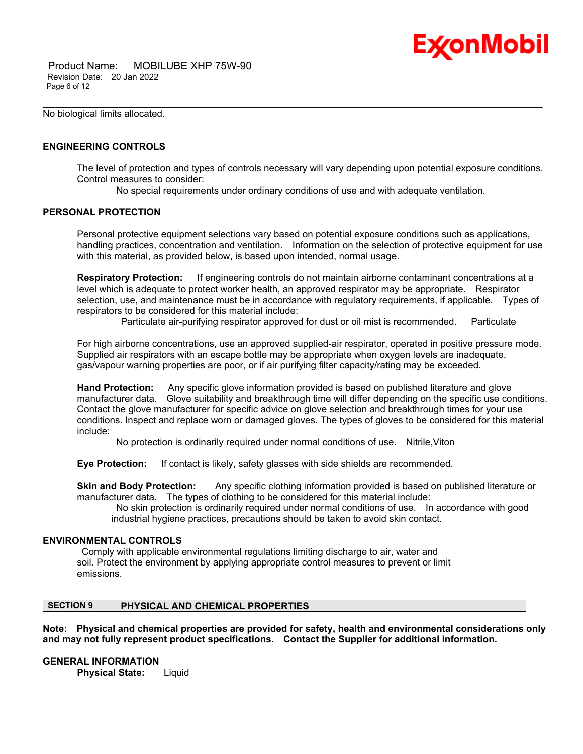

 Product Name: MOBILUBE XHP 75W-90 Revision Date: 20 Jan 2022 Page 6 of 12

No biological limits allocated.

# **ENGINEERING CONTROLS**

The level of protection and types of controls necessary will vary depending upon potential exposure conditions. Control measures to consider:

No special requirements under ordinary conditions of use and with adequate ventilation.

\_\_\_\_\_\_\_\_\_\_\_\_\_\_\_\_\_\_\_\_\_\_\_\_\_\_\_\_\_\_\_\_\_\_\_\_\_\_\_\_\_\_\_\_\_\_\_\_\_\_\_\_\_\_\_\_\_\_\_\_\_\_\_\_\_\_\_\_\_\_\_\_\_\_\_\_\_\_\_\_\_\_\_\_\_\_\_\_\_\_\_\_\_\_\_\_\_\_\_\_\_\_\_\_\_\_\_\_\_\_\_\_\_\_\_\_\_\_

### **PERSONAL PROTECTION**

Personal protective equipment selections vary based on potential exposure conditions such as applications, handling practices, concentration and ventilation. Information on the selection of protective equipment for use with this material, as provided below, is based upon intended, normal usage.

**Respiratory Protection:** If engineering controls do not maintain airborne contaminant concentrations at a level which is adequate to protect worker health, an approved respirator may be appropriate. Respirator selection, use, and maintenance must be in accordance with regulatory requirements, if applicable. Types of respirators to be considered for this material include:

Particulate air-purifying respirator approved for dust or oil mist is recommended. Particulate

For high airborne concentrations, use an approved supplied-air respirator, operated in positive pressure mode. Supplied air respirators with an escape bottle may be appropriate when oxygen levels are inadequate, gas/vapour warning properties are poor, or if air purifying filter capacity/rating may be exceeded.

**Hand Protection:** Any specific glove information provided is based on published literature and glove manufacturer data. Glove suitability and breakthrough time will differ depending on the specific use conditions. Contact the glove manufacturer for specific advice on glove selection and breakthrough times for your use conditions. Inspect and replace worn or damaged gloves. The types of gloves to be considered for this material include:

No protection is ordinarily required under normal conditions of use. Nitrile,Viton

**Eye Protection:** If contact is likely, safety glasses with side shields are recommended.

**Skin and Body Protection:** Any specific clothing information provided is based on published literature or manufacturer data. The types of clothing to be considered for this material include:

No skin protection is ordinarily required under normal conditions of use. In accordance with good industrial hygiene practices, precautions should be taken to avoid skin contact.

#### **ENVIRONMENTAL CONTROLS**

Comply with applicable environmental regulations limiting discharge to air, water and soil. Protect the environment by applying appropriate control measures to prevent or limit emissions.

# **SECTION 9 PHYSICAL AND CHEMICAL PROPERTIES**

**Note: Physical and chemical properties are provided for safety, health and environmental considerations only and may not fully represent product specifications. Contact the Supplier for additional information.**

**GENERAL INFORMATION**

**Physical State:** Liquid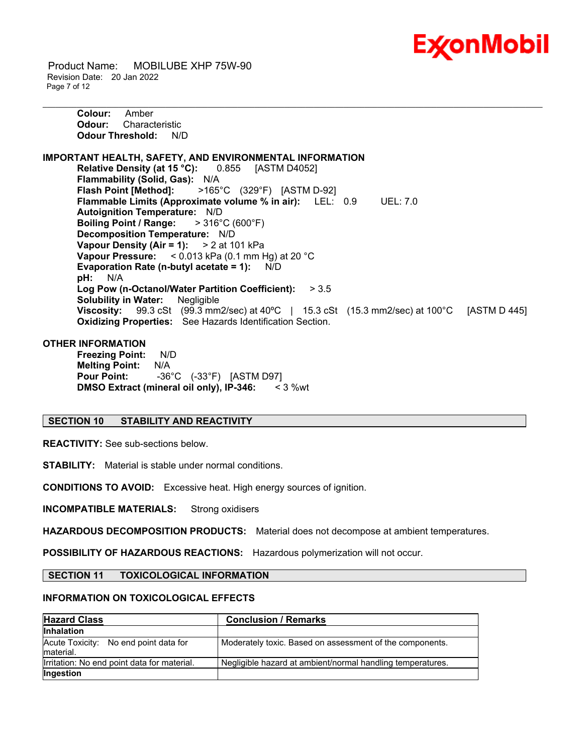

 Product Name: MOBILUBE XHP 75W-90 Revision Date: 20 Jan 2022 Page 7 of 12

**Colour:** Amber **Odour:** Characteristic **Odour Threshold:** N/D **IMPORTANT HEALTH, SAFETY, AND ENVIRONMENTAL INFORMATION Relative Density (at 15 °C):** 0.855 [ASTM D4052] **Flammability (Solid, Gas):** N/A **Flash Point [Method]:** >165°C (329°F) [ASTM D-92] **Flammable Limits (Approximate volume % in air):** LEL: 0.9 UEL: 7.0 **Autoignition Temperature:** N/D **Boiling Point / Range:** > 316°C (600°F) **Decomposition Temperature:** N/D **Vapour Density (Air = 1):** > 2 at 101 kPa **Vapour Pressure:** < 0.013 kPa (0.1 mm Hg) at 20 °C **Evaporation Rate (n-butyl acetate = 1):** N/D **pH:** N/A **Log Pow (n-Octanol/Water Partition Coefficient):** > 3.5 **Solubility in Water:** Negligible **Viscosity:** 99.3 cSt (99.3 mm2/sec) at 40ºC | 15.3 cSt (15.3 mm2/sec) at 100°C [ASTM D 445] **Oxidizing Properties:** See Hazards Identification Section.

\_\_\_\_\_\_\_\_\_\_\_\_\_\_\_\_\_\_\_\_\_\_\_\_\_\_\_\_\_\_\_\_\_\_\_\_\_\_\_\_\_\_\_\_\_\_\_\_\_\_\_\_\_\_\_\_\_\_\_\_\_\_\_\_\_\_\_\_\_\_\_\_\_\_\_\_\_\_\_\_\_\_\_\_\_\_\_\_\_\_\_\_\_\_\_\_\_\_\_\_\_\_\_\_\_\_\_\_\_\_\_\_\_\_\_\_\_\_

#### **OTHER INFORMATION**

**Freezing Point:** N/D **Melting Point:** N/A **Pour Point:** -36°C (-33°F) [ASTM D97] **DMSO Extract (mineral oil only), IP-346:** < 3 %wt

# **SECTION 10 STABILITY AND REACTIVITY**

**REACTIVITY:** See sub-sections below.

**STABILITY:** Material is stable under normal conditions.

**CONDITIONS TO AVOID:** Excessive heat. High energy sources of ignition.

**INCOMPATIBLE MATERIALS:** Strong oxidisers

**HAZARDOUS DECOMPOSITION PRODUCTS:** Material does not decompose at ambient temperatures.

**POSSIBILITY OF HAZARDOUS REACTIONS:** Hazardous polymerization will not occur.

**SECTION 11 TOXICOLOGICAL INFORMATION**

#### **INFORMATION ON TOXICOLOGICAL EFFECTS**

| <b>Hazard Class</b>                                 | <b>Conclusion / Remarks</b>                                |
|-----------------------------------------------------|------------------------------------------------------------|
| <b>Inhalation</b>                                   |                                                            |
| Acute Toxicity: No end point data for<br>Imaterial. | Moderately toxic. Based on assessment of the components.   |
| Irritation: No end point data for material.         | Negligible hazard at ambient/normal handling temperatures. |
| Ingestion                                           |                                                            |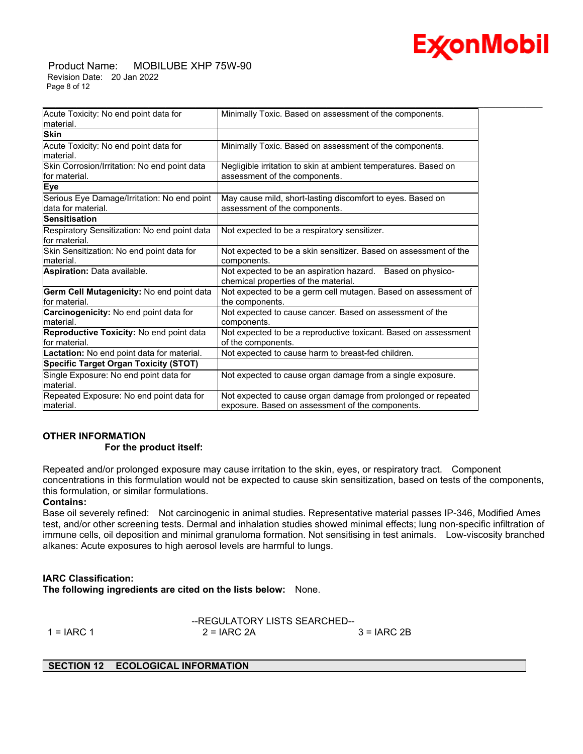

 Product Name: MOBILUBE XHP 75W-90 Revision Date: 20 Jan 2022 Page 8 of 12

| Acute Toxicity: No end point data for                             | Minimally Toxic. Based on assessment of the components.                                                           |
|-------------------------------------------------------------------|-------------------------------------------------------------------------------------------------------------------|
| material.                                                         |                                                                                                                   |
| <b>Skin</b>                                                       |                                                                                                                   |
| Acute Toxicity: No end point data for<br>material.                | Minimally Toxic. Based on assessment of the components.                                                           |
| Skin Corrosion/Irritation: No end point data<br>lfor material.    | Negligible irritation to skin at ambient temperatures. Based on<br>assessment of the components.                  |
| Eye                                                               |                                                                                                                   |
| Serious Eye Damage/Irritation: No end point<br>data for material. | May cause mild, short-lasting discomfort to eyes. Based on<br>assessment of the components.                       |
| <b>Sensitisation</b>                                              |                                                                                                                   |
| Respiratory Sensitization: No end point data<br>for material.     | Not expected to be a respiratory sensitizer.                                                                      |
| Skin Sensitization: No end point data for                         | Not expected to be a skin sensitizer. Based on assessment of the                                                  |
| material.                                                         | components.                                                                                                       |
| Aspiration: Data available.                                       | Not expected to be an aspiration hazard.<br>Based on physico-<br>chemical properties of the material.             |
| Germ Cell Mutagenicity: No end point data<br>lfor material.       | Not expected to be a germ cell mutagen. Based on assessment of<br>the components.                                 |
| Carcinogenicity: No end point data for<br>material.               | Not expected to cause cancer. Based on assessment of the<br>components.                                           |
| Reproductive Toxicity: No end point data                          | Not expected to be a reproductive toxicant. Based on assessment                                                   |
| lfor material.                                                    | of the components.                                                                                                |
| Lactation: No end point data for material.                        | Not expected to cause harm to breast-fed children.                                                                |
| <b>Specific Target Organ Toxicity (STOT)</b>                      |                                                                                                                   |
| Single Exposure: No end point data for<br>material.               | Not expected to cause organ damage from a single exposure.                                                        |
| Repeated Exposure: No end point data for<br>lmaterial.            | Not expected to cause organ damage from prolonged or repeated<br>exposure. Based on assessment of the components. |

\_\_\_\_\_\_\_\_\_\_\_\_\_\_\_\_\_\_\_\_\_\_\_\_\_\_\_\_\_\_\_\_\_\_\_\_\_\_\_\_\_\_\_\_\_\_\_\_\_\_\_\_\_\_\_\_\_\_\_\_\_\_\_\_\_\_\_\_\_\_\_\_\_\_\_\_\_\_\_\_\_\_\_\_\_\_\_\_\_\_\_\_\_\_\_\_\_\_\_\_\_\_\_\_\_\_\_\_\_\_\_\_\_\_\_\_\_\_

# **OTHER INFORMATION**

#### **For the product itself:**

Repeated and/or prolonged exposure may cause irritation to the skin, eyes, or respiratory tract. Component concentrations in this formulation would not be expected to cause skin sensitization, based on tests of the components, this formulation, or similar formulations.

# **Contains:**

Base oil severely refined: Not carcinogenic in animal studies. Representative material passes IP-346, Modified Ames test, and/or other screening tests. Dermal and inhalation studies showed minimal effects; lung non-specific infiltration of immune cells, oil deposition and minimal granuloma formation. Not sensitising in test animals. Low-viscosity branched alkanes: Acute exposures to high aerosol levels are harmful to lungs.

# **IARC Classification:**

**The following ingredients are cited on the lists below:** None.

--REGULATORY LISTS SEARCHED--

 $1 = IARC 1$   $2 = IARC 2A$   $3 = IARC 2B$ 

# **SECTION 12 ECOLOGICAL INFORMATION**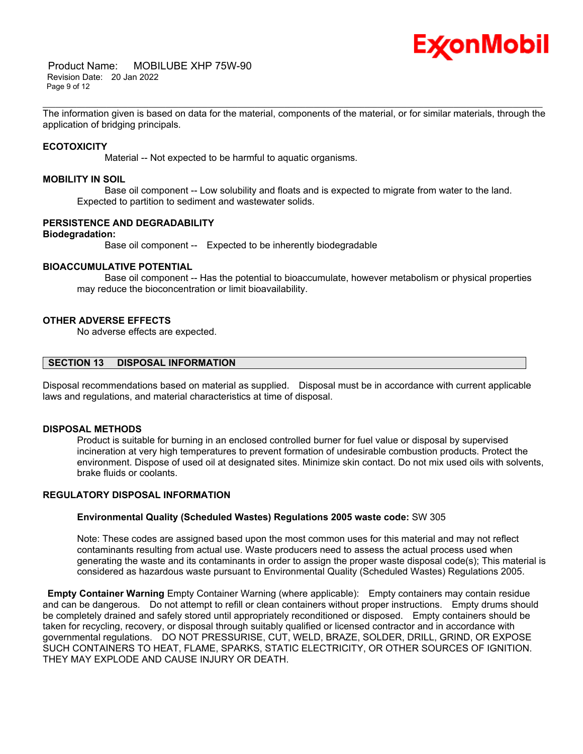

 Product Name: MOBILUBE XHP 75W-90 Revision Date: 20 Jan 2022 Page 9 of 12

\_\_\_\_\_\_\_\_\_\_\_\_\_\_\_\_\_\_\_\_\_\_\_\_\_\_\_\_\_\_\_\_\_\_\_\_\_\_\_\_\_\_\_\_\_\_\_\_\_\_\_\_\_\_\_\_\_\_\_\_\_\_\_\_\_\_\_\_\_\_\_\_\_\_\_\_\_\_\_\_\_\_\_\_\_\_\_\_\_\_\_\_\_\_\_\_\_\_\_\_\_\_\_\_\_\_\_\_\_\_\_\_\_\_\_\_\_\_ The information given is based on data for the material, components of the material, or for similar materials, through the application of bridging principals.

#### **ECOTOXICITY**

Material -- Not expected to be harmful to aquatic organisms.

#### **MOBILITY IN SOIL**

 Base oil component -- Low solubility and floats and is expected to migrate from water to the land. Expected to partition to sediment and wastewater solids.

#### **PERSISTENCE AND DEGRADABILITY**

# **Biodegradation:**

Base oil component -- Expected to be inherently biodegradable

# **BIOACCUMULATIVE POTENTIAL**

 Base oil component -- Has the potential to bioaccumulate, however metabolism or physical properties may reduce the bioconcentration or limit bioavailability.

# **OTHER ADVERSE EFFECTS**

No adverse effects are expected.

# **SECTION 13 DISPOSAL INFORMATION**

Disposal recommendations based on material as supplied. Disposal must be in accordance with current applicable laws and regulations, and material characteristics at time of disposal.

# **DISPOSAL METHODS**

Product is suitable for burning in an enclosed controlled burner for fuel value or disposal by supervised incineration at very high temperatures to prevent formation of undesirable combustion products. Protect the environment. Dispose of used oil at designated sites. Minimize skin contact. Do not mix used oils with solvents, brake fluids or coolants.

# **REGULATORY DISPOSAL INFORMATION**

#### **Environmental Quality (Scheduled Wastes) Regulations 2005 waste code:** SW 305

Note: These codes are assigned based upon the most common uses for this material and may not reflect contaminants resulting from actual use. Waste producers need to assess the actual process used when generating the waste and its contaminants in order to assign the proper waste disposal code(s); This material is considered as hazardous waste pursuant to Environmental Quality (Scheduled Wastes) Regulations 2005.

**Empty Container Warning** Empty Container Warning (where applicable): Empty containers may contain residue and can be dangerous. Do not attempt to refill or clean containers without proper instructions. Empty drums should be completely drained and safely stored until appropriately reconditioned or disposed. Empty containers should be taken for recycling, recovery, or disposal through suitably qualified or licensed contractor and in accordance with governmental regulations. DO NOT PRESSURISE, CUT, WELD, BRAZE, SOLDER, DRILL, GRIND, OR EXPOSE SUCH CONTAINERS TO HEAT, FLAME, SPARKS, STATIC ELECTRICITY, OR OTHER SOURCES OF IGNITION. THEY MAY EXPLODE AND CAUSE INJURY OR DEATH.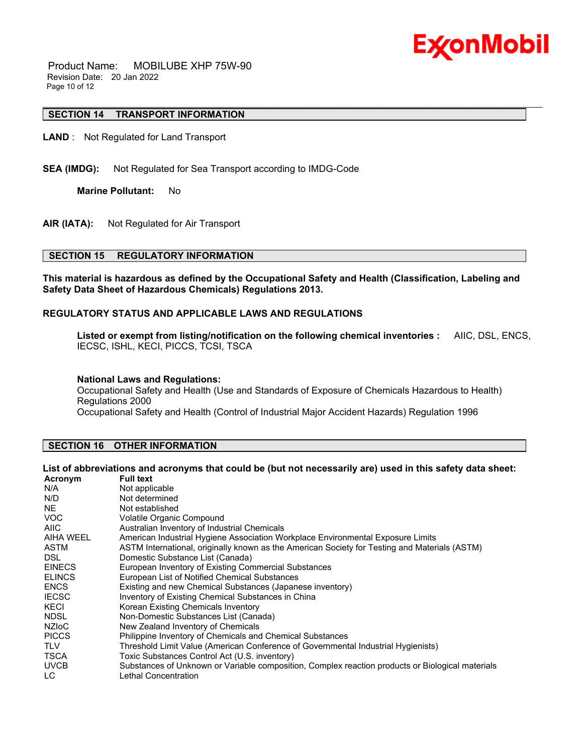

 Product Name: MOBILUBE XHP 75W-90 Revision Date: 20 Jan 2022 Page 10 of 12

# **SECTION 14 TRANSPORT INFORMATION**

**LAND** : Not Regulated for Land Transport

**SEA (IMDG):** Not Regulated for Sea Transport according to IMDG-Code

**Marine Pollutant:** No

**AIR (IATA):** Not Regulated for Air Transport

# **SECTION 15 REGULATORY INFORMATION**

**This material is hazardous as defined by the Occupational Safety and Health (Classification, Labeling and Safety Data Sheet of Hazardous Chemicals) Regulations 2013.**

\_\_\_\_\_\_\_\_\_\_\_\_\_\_\_\_\_\_\_\_\_\_\_\_\_\_\_\_\_\_\_\_\_\_\_\_\_\_\_\_\_\_\_\_\_\_\_\_\_\_\_\_\_\_\_\_\_\_\_\_\_\_\_\_\_\_\_\_\_\_\_\_\_\_\_\_\_\_\_\_\_\_\_\_\_\_\_\_\_\_\_\_\_\_\_\_\_\_\_\_\_\_\_\_\_\_\_\_\_\_\_\_\_\_\_\_\_\_

# **REGULATORY STATUS AND APPLICABLE LAWS AND REGULATIONS**

**Listed or exempt from listing/notification on the following chemical inventories :** AIIC, DSL, ENCS, IECSC, ISHL, KECI, PICCS, TCSI, TSCA

#### **National Laws and Regulations:**

Occupational Safety and Health (Use and Standards of Exposure of Chemicals Hazardous to Health) Regulations 2000

Occupational Safety and Health (Control of Industrial Major Accident Hazards) Regulation 1996

# **SECTION 16 OTHER INFORMATION**

# List of abbreviations and acronyms that could be (but not necessarily are) used in this safety data sheet:

| <b>Full text</b>                                                                                 |
|--------------------------------------------------------------------------------------------------|
| Not applicable                                                                                   |
| Not determined                                                                                   |
| Not established                                                                                  |
| <b>Volatile Organic Compound</b>                                                                 |
| Australian Inventory of Industrial Chemicals                                                     |
| American Industrial Hygiene Association Workplace Environmental Exposure Limits                  |
| ASTM International, originally known as the American Society for Testing and Materials (ASTM)    |
| Domestic Substance List (Canada)                                                                 |
| European Inventory of Existing Commercial Substances                                             |
| European List of Notified Chemical Substances                                                    |
| Existing and new Chemical Substances (Japanese inventory)                                        |
| Inventory of Existing Chemical Substances in China                                               |
| Korean Existing Chemicals Inventory                                                              |
| Non-Domestic Substances List (Canada)                                                            |
| New Zealand Inventory of Chemicals                                                               |
| Philippine Inventory of Chemicals and Chemical Substances                                        |
| Threshold Limit Value (American Conference of Governmental Industrial Hygienists)                |
| Toxic Substances Control Act (U.S. inventory)                                                    |
| Substances of Unknown or Variable composition, Complex reaction products or Biological materials |
| Lethal Concentration                                                                             |
|                                                                                                  |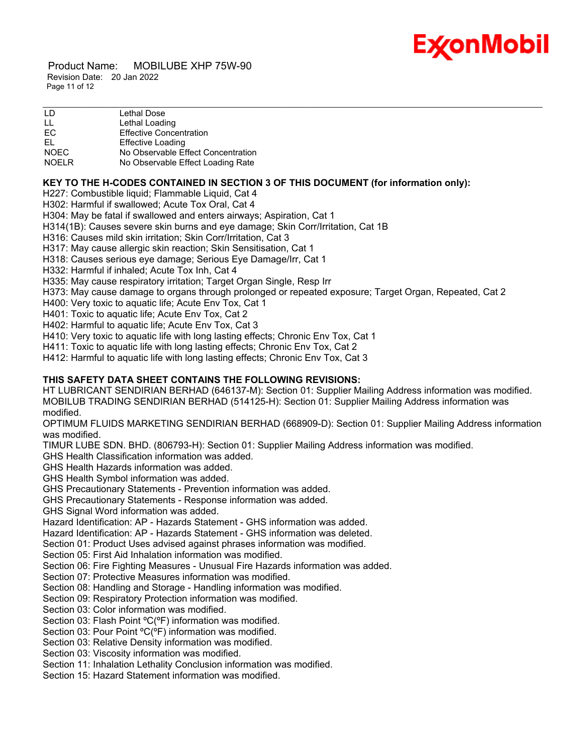

 Product Name: MOBILUBE XHP 75W-90 Revision Date: 20 Jan 2022 Page 11 of 12

| LD           | Lethal Dose                        |
|--------------|------------------------------------|
| LL           | Lethal Loading                     |
| EC           | <b>Effective Concentration</b>     |
| EL.          | <b>Effective Loading</b>           |
| <b>NOEC</b>  | No Observable Effect Concentration |
| <b>NOELR</b> | No Observable Effect Loading Rate  |

# **KEY TO THE H-CODES CONTAINED IN SECTION 3 OF THIS DOCUMENT (for information only):**

H227: Combustible liquid; Flammable Liquid, Cat 4

H302: Harmful if swallowed; Acute Tox Oral, Cat 4

H304: May be fatal if swallowed and enters airways; Aspiration, Cat 1

H314(1B): Causes severe skin burns and eye damage; Skin Corr/Irritation, Cat 1B

H316: Causes mild skin irritation; Skin Corr/Irritation, Cat 3

H317: May cause allergic skin reaction; Skin Sensitisation, Cat 1

H318: Causes serious eye damage; Serious Eye Damage/Irr, Cat 1

H332: Harmful if inhaled; Acute Tox Inh, Cat 4

H335: May cause respiratory irritation; Target Organ Single, Resp Irr

H373: May cause damage to organs through prolonged or repeated exposure; Target Organ, Repeated, Cat 2

H400: Very toxic to aquatic life; Acute Env Tox, Cat 1

H401: Toxic to aquatic life; Acute Env Tox, Cat 2

H402: Harmful to aquatic life; Acute Env Tox, Cat 3

H410: Very toxic to aquatic life with long lasting effects; Chronic Env Tox, Cat 1

H411: Toxic to aquatic life with long lasting effects; Chronic Env Tox, Cat 2

H412: Harmful to aquatic life with long lasting effects; Chronic Env Tox, Cat 3

# **THIS SAFETY DATA SHEET CONTAINS THE FOLLOWING REVISIONS:**

HT LUBRICANT SENDIRIAN BERHAD (646137-M): Section 01: Supplier Mailing Address information was modified. MOBILUB TRADING SENDIRIAN BERHAD (514125-H): Section 01: Supplier Mailing Address information was modified.

OPTIMUM FLUIDS MARKETING SENDIRIAN BERHAD (668909-D): Section 01: Supplier Mailing Address information was modified.

TIMUR LUBE SDN. BHD. (806793-H): Section 01: Supplier Mailing Address information was modified.

GHS Health Classification information was added.

GHS Health Hazards information was added.

GHS Health Symbol information was added.

GHS Precautionary Statements - Prevention information was added.

GHS Precautionary Statements - Response information was added.

GHS Signal Word information was added.

Hazard Identification: AP - Hazards Statement - GHS information was added.

Hazard Identification: AP - Hazards Statement - GHS information was deleted.

Section 01: Product Uses advised against phrases information was modified.

Section 05: First Aid Inhalation information was modified.

Section 06: Fire Fighting Measures - Unusual Fire Hazards information was added.

Section 07: Protective Measures information was modified.

Section 08: Handling and Storage - Handling information was modified.

Section 09: Respiratory Protection information was modified.

Section 03: Color information was modified.

Section 03: Flash Point ºC(ºF) information was modified.

Section 03: Pour Point °C(°F) information was modified.

Section 03: Relative Density information was modified.

Section 03: Viscosity information was modified.

Section 11: Inhalation Lethality Conclusion information was modified.

Section 15: Hazard Statement information was modified.